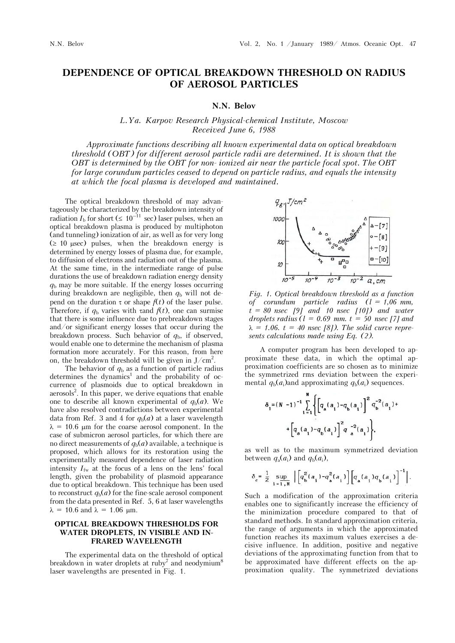# **DEPENDENCE OF OPTICAL BREAKDOWN THRESHOLD ON RADIUS OF AEROSOL PARTICLES**

#### **N.N. Belov**

## *L.Ya. Karpov Research Physical-chemical Institute, Moscow Received June 6, 1988*

*Approximate functions describing all known experimental data on optical breakdown threshold (OBT) for different aerosol particle radii are determined. It is shown that the OBT is determined by the OBT for non- ionized air near the particle focal spot. The OBT for large corundum particles ceased to depend on particle radius, and equals the intensity at which the focal plasma is developed and maintained.*

The optical breakdown threshold of may advantageously be characterized by the breakdown intensity of radiation  $I_b$  for short ( $\leq 10^{-11}$  sec) laser pulses, when an optical breakdown plasma is produced by multiphoton (and tunneling) ionization of air, as well as for very long  $(\geq 10 \text{ }\mu\text{sec})$  pulses, when the breakdown energy is determined by energy losses of plasma due, for example, to diffusion of electrons and radiation out of the plasma. At the same time, in the intermediate range of pulse durations the use of breakdown radiation energy density  $q<sub>b</sub>$  may be more suitable. If the energy losses occurring during breakdown are negligible, then  $q_b$  will not depend on the duration  $\tau$  or shape  $f(t)$  of the laser pulse. Therefore, if  $q_b$  varies with  $\tau$  and  $f(t)$ , one can surmise that there is some influence due to prebreakdown stages and/or significant energy losses that occur during the breakdown process. Such behavior of  $q_b$ , if observed, would enable one to determine the mechanism of plasma formation more accurately. For this reason, from here on, the breakdown threshold will be given in  $J/cm^2$ .

The behavior of  $q<sub>b</sub>$  as a function of particle radius  $d$ etermines the dynamics<sup>1</sup> and the probability of occurrence of plasmoids due to optical breakdown in  $aerosols<sup>2</sup>$ . In this paper, we derive equations that enable one to describe all known experimental of  $q_b(a)$ . We have also resolved contradictions between experimental data from Ref. 3 and 4 for  $q_b(a)$  at a laser wavelength  $\lambda = 10.6$  µm for the coarse aerosol component. In the case of submicron aerosol particles, for which there are no direct measurements of  $q_b(a)$  available, a technique is proposed, which allows for its restoration using the experimentally measured dependence of laser radiation intensity  $I_{\text{fw}}$  at the focus of a lens on the lens' focal length, given the probability of plasmoid appearance due to optical breakdown. This technique has been used to reconstruct  $q_b(a)$  for the fine-scale aerosol component from the data presented in Ref. 5, 6 at laser wavelengths  $\lambda = 10.6$  and  $\lambda = 1.06$  µm.

### **OPTICAL BREAKDOWN THRESHOLDS FOR WATER DROPLETS, IN VISIBLE AND IN-FRARED WAVELENGTH**

The experimental data on the threshold of optical breakdown in water droplets at ruby<sup>7</sup> and neodymium<sup>8</sup> laser wavelengths are presented in Fig. 1.



*Fig. 1. Optical breakdown threshold as a function of corundum particle radius (l = 1,06 mm, t = 80 nsec [9] and 10 nsec [10]) and water droplets radius (l = 0.69 mm. t = 50 nsec [7] and*   $\lambda = 1.06$ ,  $t = 40$  nsec [8]). The solid curve repre*sents calculations made using Eq. (2).*

A computer program has been developed to approximate these data, in which the optimal approximation coefficients are so chosen as to minimize the symmetrized rms deviation between the experimental  $q_b(a_i)$ and approximating  $q_b(a_i)$  sequences.

$$
\delta_{1} = (N - 1)^{-1} \sum_{i=1}^{N} \left\{ \left[ q_{\mathbf{a}}(a_{i}) - q_{\mathbf{b}}(a_{i}) \right]^{2} q_{\mathbf{b}}^{-2}(a_{i}) + \left[ q_{\mathbf{a}}(a_{i}) - q_{\mathbf{b}}(a_{i}) \right]^{2} q_{\mathbf{a}}^{-2}(a_{i}) \right\},
$$

as well as to the maximum symmetrized deviation between  $q_a(a_i)$  and  $q_b(a_i)$ ,

$$
\delta_c = \frac{1}{2} \sup_{i=1, N} \left[ \left[ q_b^2(a_i) - q_a^2(a_i) \right] \left[ q_a(a_i) q_b(a_i) \right]^{-1} \right].
$$

Such a modification of the approximation criteria enables one to significantly increase the efficiency of the minimization procedure compared to that of standard methods. In standard approximation criteria, the range of arguments in which the approximated function reaches its maximum values exercises a decisive influence. In addition, positive and negative deviations of the approximating function from that to be approximated have different effects on the approximation quality. The symmetrized deviations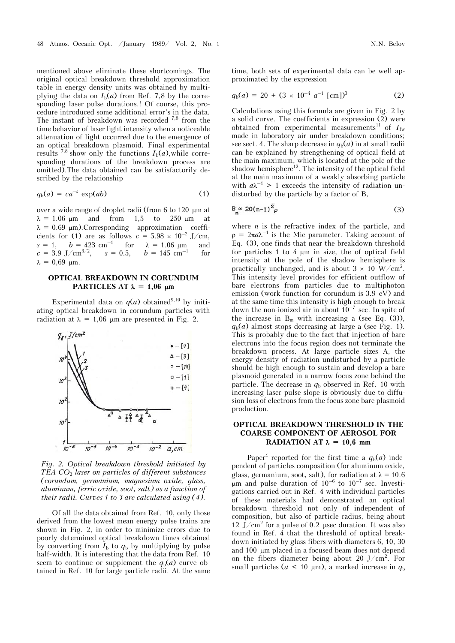mentioned above eliminate these shortcomings. The original optical breakdown threshold approximation table in energy density units was obtained by multiplying the data on  $I_b(a)$  from Ref. 7,8 by the corresponding laser pulse durations.! Of course, this procedure introduced some additional error's in the data. The instant of breakdown was recorded  $^{7,8}$  from the time behavior of laser light intensity when a noticeable attenuation of light occurred due to the emergence of an optical breakdown plasmoid. Final experimental results <sup>7,8</sup> show only the functions  $I_b(a)$ , while corresponding durations of the breakdown process are omitted).The data obtained can be satisfactorily described by the relationship

$$
q_b(a) = ca^{-s} \exp(ab) \tag{1}
$$

over a wide range of droplet radii (from 6 to 120 µm at  $\lambda = 1.06$  µm and from 1,5 to 250 µm at  $\lambda = 0.69 \mu m$ ). Corresponding approximation coefficients for (1) are as follows  $c = 5.98 \times 10^{-2}$  J/cm,  $s = 1$ ,  $b = 423$  cm<sup>-1</sup> for  $\lambda = 1.06$  µm and  $c = 3.9 \text{ J/cm}^{3/2}$ ,  $s = 0.5$ ,  $b = 145 \text{ cm}^{-1}$  for  $\lambda = 0.69$  µm.

#### **OPTICAL BREAKDOWN IN CORUNDUM PARTICLES AT**  $\lambda = 1,06$  $\mu$ **m**

Experimental data on  $q(a)$  obtained<sup>9,10</sup> by initiating optical breakdown in corundum particles with radiation at  $\lambda = 1.06$  µm are presented in Fig. 2.



*Fig. 2. Optical breakdown threshold initiated by TEA CO*2 *laser on particles of different substances (corundum, germanium, magnesium oxide, glass, aluminum, ferric oxide, soot, salt) as a function of their radii. Curves 1 to 3 are calculated using (4).*

Of all the data obtained from Ref. 10, only those derived from the lowest mean energy pulse trains are shown in Fig. 2, in order to minimize errors due to poorly determined optical breakdown times obtained by converting from  $I<sub>b</sub>$  to  $q<sub>b</sub>$  by multiplying by pulse half-width. It is interesting that the data from Ref. 10 seem to continue or supplement the  $q_b(a)$  curve obtained in Ref. 10 for large particle radii. At the same time, both sets of experimental data can be well approximated by the expression

$$
q_{b}(a) = 20 + (3 \times 10^{-4} a^{-1} [cm])^{3}
$$
 (2)

Calculations using this formula are given in Fig. 2 by a solid curve. The coefficients in expression (2) were obtained from experimental measurements<sup>11</sup> of  $I_{fw}$ made in laboratory air under breakdown conditions; see sect. 4. The sharp decrease in  $q_b(a)$  in at small radii can be explained by strengthening of optical field at the main maximum, which is located at the pole of the shadow hemisphere<sup>12</sup>. The intensity of the optical field at the main maximum of a weakly absorbing particle with  $a\lambda^{-1}$  > 1 exceeds the intensity of radiation undisturbed by the particle by a factor of B,

$$
\mathbf{B}_{\mathbf{m}} \approx 20(n-1)^2 \rho \tag{3}
$$

where *n* is the refractive index of the particle, and  $\rho = 2\pi a \lambda^{-1}$  is the Mie parameter. Taking account of Eq. (3), one finds that near the breakdown threshold for particles  $1$  to  $4 \mu m$  in size, the of optical field intensity at the pole of the shadow hemisphere is practically unchanged, and is about  $3 \times 10 \text{ W/cm}^2$ . This intensity level provides for efficient outflow of bare electrons from particles due to multiphoton emission (work function for corundum is 3.9 eV) and at the same time this intensity is high enough to break down the non-ionized air in about  $10^{-7}$  sec. In spite of the increase in  $B_m$  with increasing a (see Eq. (3)),  $q_b(a)$  almost stops decreasing at large a (see Fig. 1). This is probably due to the fact that injection of bare electrons into the focus region does not terminate the breakdown process. At large particle sizes A, the energy density of radiation undisturbed by a particle should be high enough to sustain and develop a bare plasmoid generated in a narrow focus zone behind the particle. The decrease in  $q_b$  observed in Ref. 10 with increasing laser pulse slope is obviously due to diffusion loss of electrons from the focus zone bare plasmoid production.

## **OPTICAL BREAKDOWN THRESHOLD IN THE COARSE COMPONENT OF AEROSOL FOR RADIATION AT**  $\lambda = 10.6$  **mm**

Paper<sup>4</sup> reported for the first time a  $q_b(a)$  independent of particles composition (for aluminum oxide, glass, germanium, soot, salt), for radiation at  $\lambda = 10.6$  $\mu$ m and pulse duration of 10<sup>-6</sup> to 10<sup>-7</sup> sec. Investigations carried out in Ref. 4 with individual particles of these materials had demonstrated an optical breakdown threshold not only of independent of composition, but also of particle radius, being about 12 J/cm<sup>2</sup> for a pulse of 0.2 usec duration. It was also found in Ref. 4 that the threshold of optical breakdown initiated by glass fibers with diameters 6, 10, 30 and 100 µm placed in a focused beam does not depend on the fibers diameter being about 20 J/cm<sup>2</sup>. For small particles ( $a < 10 \mu$ m), a marked increase in  $q_b$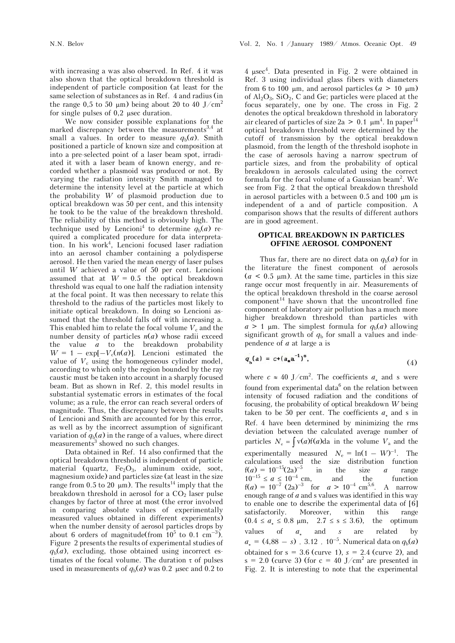with increasing a was also observed. In Ref. 4 it was also shown that the optical breakdown threshold is independent of particle composition (at least for the same selection of substances as in Ref. 4 and radius (in the range 0,5 to 50  $\mu$ m) being about 20 to 40 J/cm<sup>2</sup> for single pulses of  $0,2$  usec duration.

We now consider possible explanations for the marked discrepancy between the measurements<sup>3,4</sup> at small a values. In order to measure  $q_b(a)$ . Smith positioned a particle of known size and composition at into a pre-selected point of a laser beam spot, irradiated it with a laser beam of known energy, and recorded whether a plasmoid was produced or not. By varying the radiation intensity Smith managed to determine the intensity level at the particle at which the probability *W* of plasmoid production due to optical breakdown was 50 per cent, and this intensity he took to be the value of the breakdown threshold. The reliability of this method is obviously high. The technique used by Lencioni<sup>4</sup> to determine  $q_b(a)$  required a complicated procedure for data interpretation. In his work<sup>4</sup>, Lencioni focused laser radiation into an aerosol chamber containing a polydisperse aerosol. He then varied the mean energy of laser pulses until *W* achieved a value of 50 per cent. Lencioni assumed that at  $W = 0.5$  the optical breakdown threshold was equal to one half the radiation intensity at the focal point. It was then necessary to relate this threshold to the radius of the particles most likely to initiate optical breakdown. In doing so Lencioni assumed that the threshold falls off with increasing a. This enabled him to relate the focal volume  $V_c$  and the number density of particles  $n(a)$  whose radii exceed the value *a* to the breakdown probability  $W = 1 - \exp[-V_c(n(a))]$ . Lencioni estimated the value of  $V_c$  using the homogeneous cylinder model, according to which only the region bounded by the ray caustic must be taken into account in a sharply focused beam. But as shown in Ref. 2, this model results in substantial systematic errors in estimates of the focal volume; as a rule, the error can reach several orders of magnitude. Thus, the discrepancy between the results of Lencioni and Smith are accounted for by this error, as well as by the incorrect assumption of significant variation of  $q_b(a)$  in the range of a values, where direct measurements<sup>3</sup> showed no such changes.

Data obtained in Ref. 14 also confirmed that the optical breakdown threshold is independent of particle material (quartz,  $Fe<sub>2</sub>O<sub>3</sub>$ , aluminum oxide, soot, magnesium oxide) and particles size (at least in the size range from 0.5 to 20  $\mu$ m). The results<sup>14</sup> imply that the breakdown threshold in aerosol for a  $CO<sub>2</sub>$  laser pulse changes by factor of three at most (the error involved in comparing absolute values of experimentally measured values obtained in different experiments) when the number density of aerosol particles drops by about 6 orders of magnitude(from  $10^5$  to 0.1 cm<sup>-3</sup>). Figure 2 presents the results of experimental studies of  $q_b(a)$ , excluding, those obtained using incorrect estimates of the focal volume. The duration  $\tau$  of pulses used in measurements of  $q_b(a)$  was 0.2 µsec and 0.2 to

4  $\mu$ sec<sup>4</sup>. Data presented in Fig. 2 were obtained in Ref. 3 using individual glass fibers with diameters from 6 to 100  $\mu$ m, and aerosol particles ( $a > 10 \mu$ m) of  $Al_2O_3$ ,  $SiO_2$ , C and Ge; particles were placed at the focus separately, one by one. The cross in Fig. 2 denotes the optical breakdown threshold in laboratory air cleared of particles of size  $2a > 0.1 \mu m^4$ . In paper<sup>14</sup> optical breakdown threshold were determined by the cutoff of transmission by the optical breakdown plasmoid, from the length of the threshold isophote in the case of aerosols having a narrow spectrum of particle sizes, and from the probability of optical breakdown in aerosols calculated using the correct formula for the focal volume of a Gaussian beam<sup>2</sup>. We see from Fig. 2 that the optical breakdown threshold in aerosol particles with a between  $0.5$  and  $100 \mu m$  is independent of a and of particle composition. A comparison shows that the results of different authors are in good agreement.

#### **OPTICAL BREAKDOWN IN PARTICLES OFFINE AEROSOL COMPONENT**

Thus far, there are no direct data on  $q_b(a)$  for in the literature the finest component of aerosols  $(a < 0.5 \mu m)$ . At the same time, particles in this size range occur most frequently in air. Measurements of the optical breakdown threshold in the coarse aerosol  $component<sup>14</sup>$  have shown that the uncontrolled fine component of laboratory air pollution has a much more higher breakdown threshold than particles with  $a > 1$  µm. The simplest formula for  $q_b(a)$  allowing significant growth of  $q<sub>b</sub>$  for small a values and independence of *a* at large a is

$$
q_{\mathbf{b}}(a) = c + (a_{\mathbf{a}} a^{-1})^s, \tag{4}
$$

where  $c \approx 40 \text{ J/cm}^2$ . The coefficients  $a_*$  and s were found from experimental data<sup>6</sup> on the relation between intensity of focused radiation and the conditions of focusing, the probability of optical breakdown *W* being taken to be 50 per cent. The coefficients  $a_*$  and s in Ref. 4 have been determined by minimizing the rms deviation between the calculated average number of particles  $N_e = \int v(a)f(a)da$  in the volume  $V_a$  and the experimentally measured  $N_e = \ln(1 - W)^{-1}$ . The calculations used the size distribution function  $f(a) = 10^{-15}(2a)^{-5}$  in the size *a* range  $10^{-15} \le a \le 10^{-4}$  cm, and the function  $f(a) = 10^{-7} (2a)^{-3}$  for  $a > 10^{-4}$  cm<sup>5,6</sup>. A narrow enough range of *a* and s values was identified in this way to enable one to describe the experimental data of [6] satisfactorily. Moreover, within this range  $(0.4 \le a_* \le 0.8 \text{ }\mu\text{m}, \quad 2.7 \le s \le 3.6)$ , the optimum values of *a* and *s* are related by values of *à*\* related by  $a_* = (4,88 - s)$ . 3.12. 10<sup>-5</sup>. Numerical data on  $q_b(a)$ obtained for  $s = 3.6$  (curve 1),  $s = 2.4$  (curve 2), and s = 2.0 (curve 3) (for c = 40 J/cm<sup>2</sup> are presented in Fig. 2. It is interesting to note that the experimental